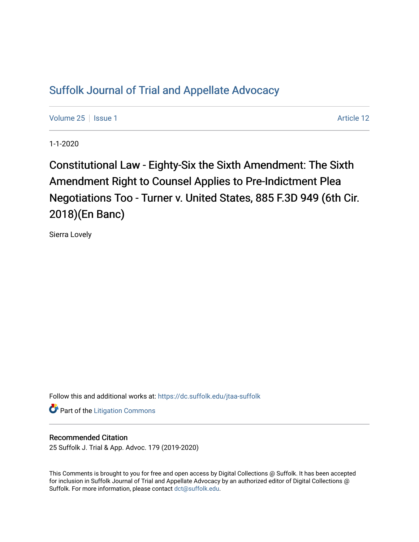## [Suffolk Journal of Trial and Appellate Advocacy](https://dc.suffolk.edu/jtaa-suffolk)

[Volume 25](https://dc.suffolk.edu/jtaa-suffolk/vol25) | [Issue 1](https://dc.suffolk.edu/jtaa-suffolk/vol25/iss1) Article 12

1-1-2020

Constitutional Law - Eighty-Six the Sixth Amendment: The Sixth Amendment Right to Counsel Applies to Pre-Indictment Plea Negotiations Too - Turner v. United States, 885 F.3D 949 (6th Cir. 2018)(En Banc)

Sierra Lovely

Follow this and additional works at: [https://dc.suffolk.edu/jtaa-suffolk](https://dc.suffolk.edu/jtaa-suffolk?utm_source=dc.suffolk.edu%2Fjtaa-suffolk%2Fvol25%2Fiss1%2F12&utm_medium=PDF&utm_campaign=PDFCoverPages) 

**Part of the [Litigation Commons](http://network.bepress.com/hgg/discipline/910?utm_source=dc.suffolk.edu%2Fjtaa-suffolk%2Fvol25%2Fiss1%2F12&utm_medium=PDF&utm_campaign=PDFCoverPages)** 

## Recommended Citation

25 Suffolk J. Trial & App. Advoc. 179 (2019-2020)

This Comments is brought to you for free and open access by Digital Collections @ Suffolk. It has been accepted for inclusion in Suffolk Journal of Trial and Appellate Advocacy by an authorized editor of Digital Collections @ Suffolk. For more information, please contact [dct@suffolk.edu.](mailto:dct@suffolk.edu)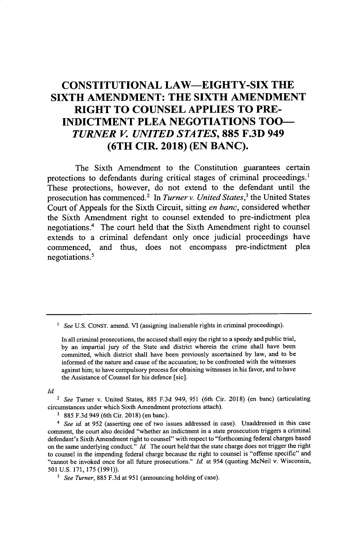## **CONSTITUTIONAL LAW-EIGHTY-SIX THE SIXTH AMENDMENT: THE SIXTH AMENDMENT RIGHT TO COUNSEL APPLIES TO PRE-INDICTMENT PLEA NEGOTIATIONS TOO-***TURNER V. UNITED STATES,* **885 F.3D 949 (6TH CIR. 2018) (EN BANC).**

The Sixth Amendment to the Constitution guarantees certain protections to defendants during critical stages of criminal proceedings.<sup>1</sup> These protections, however, do not extend to the defendant until the prosecution has commenced.2 In *Turner v. United States,<sup>3</sup>*the United States Court of Appeals for the Sixth Circuit, sitting *en banc,* considered whether the Sixth Amendment right to counsel extended to pre-indictment plea negotiations.4 The court held that the Sixth Amendment right to counsel extends to a criminal defendant only once judicial proceedings have commenced, and thus, does not encompass pre-indictment plea negotiations.'

*Id.*

2 *See* Turner v. United States, 885 F.3d 949, 951 (6th Cir. 2018) (en banc) (articulating circumstances under which Sixth Amendment protections attach).

**3** 885 F.3d 949 (6th Cir. 2018) (en banc).

*4 See id.* at 952 (asserting one of two issues addressed in case). Unaddressed in this case comment, the court also decided "whether an indictment in a state prosecution triggers a criminal defendant's Sixth Amendment right to counsel" with respect to "forthcoming federal charges based on the same underlying conduct." *Id.* The court held that the state charge does not trigger the right to counsel in the impending federal charge because the right to counsel is "offense specific" and "cannot be invoked once for all future prosecutions." *Id.* at 954 (quoting McNeil v. Wisconsin, 501 U.S. 171, 175 (1991)).

*5 See Turner,* 885 F.3d at 951 (announcing holding of case).

<sup>&</sup>lt;sup>1</sup> See U.S. CONST. amend. VI (assigning inalienable rights in criminal proceedings).

In all criminal prosecutions, the accused shall enjoy the right to a speedy and public trial, by an impartial jury of the State and district wherein the crime shall have been committed, which district shall have been previously ascertained by law, and to be informed of the nature and cause of the accusation; to be confronted with the witnesses against him; to have compulsory process for obtaining witnesses in his favor, and to have the Assistance of Counsel for his defence [sic].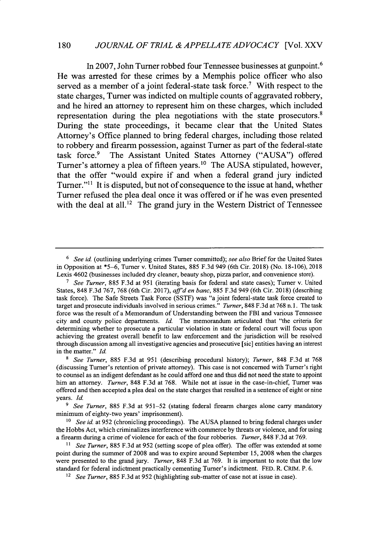In **2007,** John Turner robbed four Tennessee businesses at gunpoint.<sup>6</sup> He was arrested for these crimes **by** a Memphis police officer who also served as a member of a joint federal-state task force.<sup>7</sup> With respect to the state charges, Turner was indicted on multiple counts of aggravated robbery, and he hired an attorney to represent him on these charges, which included representation during the plea negotiations with the state prosecutors.<sup>8</sup> During the state proceedings, it became clear that the United States Attorney's Office planned to bring federal charges, including those related to robbery and firearm possession, against Turner as part of the federal-state task force.<sup>9</sup> The Assistant United States Attorney ("AUSA") offered Turner's attorney a plea of fifteen years.'° The **AUSA** stipulated, however, that the offer "would expire if and when a federal grand jury indicted Turner."<sup>11</sup> It is disputed, but not of consequence to the issue at hand, whether Turner refused the plea deal once it was offered or if he was even presented with the deal at all.<sup>12</sup> The grand jury in the Western District of Tennessee

*<sup>6</sup> See id* (outlining underlying crimes Turner committed); *see also* Brief for the United States in Opposition at **\*5-6,** Turner v. United States, 885 F.3d 949 (6th Cir. 2018) (No. 18-106), 2018 Lexis 4602 (businesses included dry cleaner, beauty shop, pizza parlor, and convenience store).

**<sup>7</sup>** *See Turner,* 885 F.3d at 951 (iterating basis for federal and state cases); Turner v. United States, 848 F.3d 767, 768 (6th Cir. 2017), *affd en banc,* 885 F.3d 949 (6th Cir. 2018) (describing task force). The Safe Streets Task Force (SSTF) was "a joint federal-state task force created to target and prosecute individuals involved in serious crimes." *Turner,* 848 F.3d at 768 n. 1. The task force was the result of a Memorandum of Understanding between the FBI and various Tennessee city and county police departments. **Id.** The memorandum articulated that "the criteria for determining whether to prosecute a particular violation in state or federal court will focus upon achieving the greatest overall benefit to law enforcement and the jurisdiction will be resolved through discussion among all investigative agencies and prosecutive [sic] entities having an interest in the matter." *Id.*

**<sup>8</sup>** *See Turner,* 885 F.3d at 951 (describing procedural history); *Turner,* 848 F.3d at 768 (discussing Turner's retention of private attorney). This case is not concerned with Turner's right to counsel as an indigent defendant as he could afford one and thus did not need the state to appoint him an attorney. *Turner,* 848 F.3d at 768. while not at issue in the case-in-chief, Turner was offered and then accepted a plea deal on the state charges that resulted in a sentence of eight or nine years. Id.

**<sup>9</sup>** *See Turner,* 885 F.3d at 951-52 (stating federal firearm charges alone carry mandatory minimum of eighty-two years' imprisonment).

<sup>&</sup>lt;sup>10</sup> See id. at 952 (chronicling proceedings). The AUSA planned to bring federal charges under the Hobbs Act, which criminalizes interference with commerce by threats or violence, and for using a firearm during a crime of violence for each of the four robberies. *Turner,* 848 F.3d at 769.

<sup>&</sup>lt;sup>11</sup> See Turner, 885 F.3d at 952 (setting scope of plea offer). The offer was extended at some point during the summer of 2008 and was to expire around September 15, 2008 when the charges were presented to the grand jury. *Turner,* 848 F.3d at 769. It is important to note that the low standard for federal indictment practically cementing Turner's indictment. **FED.** R. CRIM. P. 6.

*<sup>12</sup> See Turner,* 885 F.3d at 952 (highlighting sub-matter of case not at issue in case).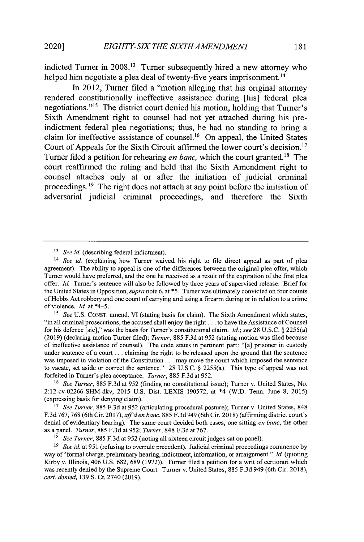indicted Turner in **2008."3** Turner subsequently hired a new attorney who helped him negotiate a plea deal of twenty-five years imprisonment.<sup>14</sup>

In 2012, Turner filed a "motion alleging that his original attorney rendered constitutionally ineffective assistance during [his] federal plea negotiations."15 The district court denied his motion, holding that Turner's Sixth Amendment right to counsel had not yet attached during his preindictment federal plea negotiations; thus, he had no standing to bring a claim for ineffective assistance of counsel.16 On appeal, the United States Court of Appeals for the Sixth Circuit affirmed the lower court's decision.<sup>17</sup> Turner filed a petition for rehearing *en banc*, which the court granted.<sup>18</sup> The court reaffirmed the ruling and held that the Sixth Amendment right to counsel attaches only at or after the initiation of judicial criminal proceedings.19 The right does not attach at any point before the initiation of adversarial judicial criminal proceedings, and therefore the Sixth

**16** *See Turner,* 885 F.3d at 952 (finding no constitutional issue); Turner v. United States, No. 2:12-cv-02266-SHM-dkv, 2015 U.S. Dist. LEXIS 190572, at \*4 (W.D. Tenn. June 8, 2015) (expressing basis for denying claim).

**<sup>17</sup>***See Turner,* 885 F.3d at 952 (articulating procedural posture); Turner v. United States, 848 F.3d 767, 768 (6th Cir. 2017), *aff'den banc,* 885 F.3d 949 (6th Cir. 2018) (affirming district court's denial of evidentiary hearing). The same court decided both cases, one sitting *en banc,* the other as a panel. *Turner,* 885 F.3d at 952; *Turner,* 848 F.3d at 767.

<sup>&</sup>lt;sup>13</sup> *See id.* (describing federal indictment).

<sup>&</sup>lt;sup>14</sup> *See id.* (explaining how Turner waived his right to file direct appeal as part of plea agreement). The ability to appeal is one of the differences between the original plea offer, which Turner would have preferred, and the one he received as a result of the expiration of the first plea offer. *Id.* Turner's sentence will also be followed by three years of supervised release. Brief for the United States in Opposition, *supra* note 6, at **\*5.** Turner was ultimately convicted on four counts of Hobbs Act robbery and one count of carrying and using a firearm during or in relation to a crime of violence. *Id.* at \*4-5.

**<sup>15</sup>** *See* U.S. CONST. amend. VI (stating basis for claim). The Sixth Amendment which states, "in all criminal prosecutions, the accused shall enjoy the right.., to have the Assistance of Counsel for his defence [sic]," was the basis for Turner's constitutional claim. Id.; *see* 28 U.S.C. § 2255(a) (2019) (declaring motion Turner filed); *Turner,* 885 F.3d at 952 (stating motion was filed because of ineffective assistance of counsel). The code states in pertinent part: "[a] prisoner in custody under sentence of a court **...** claiming the right to be released upon the ground that the sentence was imposed in violation of the Constitution.. . may move the court which imposed the sentence to vacate, set aside or correct the sentence." 28 U.S.C. § 2255(a). This type of appeal was not forfeited in Turner's plea acceptance. *Turner,* 885 F.3d at 952.

**<sup>18</sup>** *See Turner,* 885 F.3d at 952 (noting all sixteen circuit judges sat on panel).

**<sup>19</sup>***See id.* at 951 (refusing to overrule precedent). Judicial criminal proceedings commence by way of "formal charge, preliminary hearing, indictment, information, or arraignment." Id. (quoting Kirby v. Illinois, 406 U.S. 682, 689 (1972)). Turner filed a petition for a writ of certiorari which was recently denied by the Supreme Court. Turner v. United States, 885 F.3d 949 (6th Cir. 2018), *cert. denied,* 139 **S.** Ct. 2740 (2019).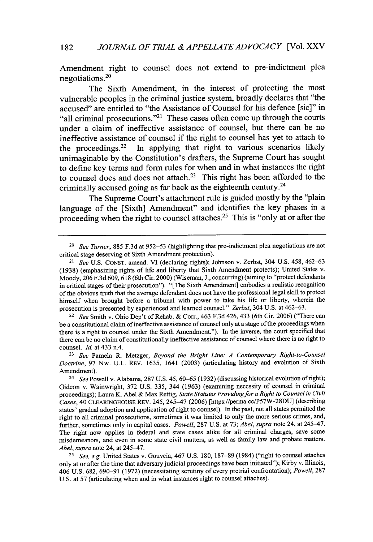Amendment right to counsel does not extend to pre-indictment plea negotiations.<sup>20</sup>

The Sixth Amendment, in the interest of protecting the most vulnerable peoples in the criminal justice system, broadly declares that "the accused" are entitled to "the Assistance of Counsel for his defence [sic]" in "all criminal prosecutions."<sup>21</sup> These cases often come up through the courts under a claim of ineffective assistance of counsel, but there can be no ineffective assistance of counsel if the right to counsel has yet to attach to the proceedings.<sup>22</sup> In applying that right to various scenarios likely unimaginable **by** the Constitution's drafters, the Supreme Court has sought to define key terms and form rules for when and in what instances the right to counsel does and does not attach.<sup>23</sup> This right has been afforded to the criminally accused going as far back as the eighteenth century.<sup>24</sup>

The Supreme Court's attachment rule is guided mostly **by** the "plain language of the [Sixth] Amendment" and identifies the key phases in a proceeding when the right to counsel attaches.<sup>25</sup> This is "only at or after the

<sup>22</sup>*See* Smith v. Ohio Dep't of Rehab. & Corr., 463 F.3d 426, 433 (6th Cir. 2006) ("There can be a constitutional claim of ineffective assistance of counsel only at a stage of the proceedings when there is a right to counsel under the Sixth Amendment."). In the inverse, the court specified that there can be no claim of constitutionally ineffective assistance of counsel where there is no right to counsel. *Id.* at 433 n.4.

<sup>20</sup>*See Turner,* 885 F.3d at 952-53 (highlighting that pre-indictment plea negotiations are not critical stage deserving of Sixth Amendment protection).

*<sup>21</sup> See* U.S. CONST. amend. VI (declaring rights); Johnson v. Zerbst, 304 U.S. 458, **462-63** (1938) (emphasizing rights of life and liberty that Sixth Amendment protects); United States v. Moody, 206 F.3d 609, 618 (6th Cir. 2000) (Wiseman, J., concurring) (aiming to "protect defendants in critical stages of their prosecution"). "[The Sixth Amendment] embodies a realistic recognition of the obvious truth that the average defendant does not have the professional legal skill to protect himself when brought before a tribunal with power to take his life or liberty, wherein the prosecution is presented by experienced and learned counsel." *Zerbst,* 304 U.S. at 462-63.

<sup>23</sup>*See* Pamela R. Metzger, *Beyond the Bright Line: A Contemporary Right-to-Counsel Doctrine,* 97 Nw. U.L. REV. 1635, 1641 (2003) (articulating history and evolution of Sixth Amendment).

*<sup>24</sup> See* Powell v. Alabama, 287 U.S. 45, 60-65 (1932) (discussing historical evolution of right); Gideon v. Wainwright, 372 U.S. 335, 344 (1963) (examining necessity of counsel in criminal proceedings); Laura K. Abel & Max Rettig, *State Statutes Providing for a Right to Counsel in Civil Cases,* 40 **CLEARINGHOUSE** REV. 245, 245-47 (2006) [https://perma.cc/P57W-28DU] (describing states' gradual adoption and application of right to counsel). In the past, not all states permitted the right to all criminal prosecutions, sometimes it was limited to only the more serious crimes, and, further, sometimes only in capital cases. *Powell,* 287 U.S. at 73; *Abel, supra* note 24, at 245-47. The right now applies in federal and state cases alike for all criminal charges, save some misdemeanors, and even in some state civil matters, as well as family law and probate matters. *Abel, supra* note 24, at 245-47.

*<sup>25</sup>See, e.g.* United States v. Gouveia, 467 U.S. 180, 187-89 (1984) ("right to counsel attaches only at or after the time that adversary judicial proceedings have been initiated"); Kirby v. Illinois, 406 U.S. 682, 690-91 (1972) (necessitating scrutiny of every pretrial confrontation); *Powell,* 287 U.S. at 57 (articulating when and in what instances right to counsel attaches).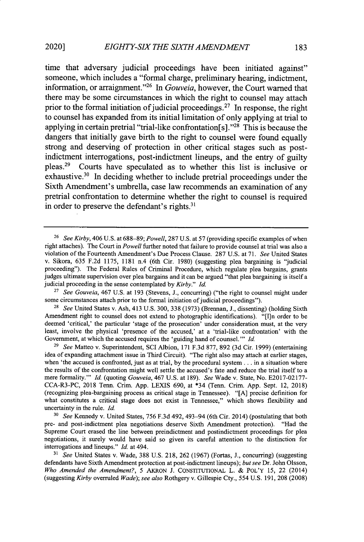time that adversary judicial proceedings have been initiated against" someone, which includes a "formal charge, preliminary hearing, indictment, information, or arraignment. '26 In *Gouveia,* however, the Court warned that there may be some circumstances in which the right to counsel may attach prior to the formal initiation of judicial proceedings.<sup>27</sup> In response, the right to counsel has expanded from its initial limitation of only applying at trial to applying in certain pretrial "trial-like confrontation[s]."<sup>28</sup> This is because the dangers that initially gave birth to the right to counsel were found equally strong and deserving of protection in other critical stages such as postindictment interrogations, post-indictment lineups, and the entry of guilty pleas.29 Courts have speculated as to whether this list is inclusive or exhaustive.<sup>30</sup> In deciding whether to include pretrial proceedings under the Sixth Amendment's umbrella, case law recommends an examination of any pretrial confrontation to determine whether the right to counsel is required in order to preserve the defendant's rights. $31$ 

<sup>28</sup>*See* United States v. Ash, 413 U.S. 300, 338 (1973) (Brennan, J., dissenting) (holding Sixth Amendment right to counsel does not extend to photographic identifications). "[I]n order to be deemed 'critical,' the particular 'stage of the prosecution' under consideration must, at the very least, involve the physical 'presence of the accused,' at a 'trial-like confrontation' with the Government, at which the accused requires the 'guiding hand of counsel. **"'** Id.

<sup>29</sup>*See* Matteo v. Superintendent, SCI Albion, 171 F.3d 877, 892 (3d Cir. 1999) (entertaining idea of expanding attachment issue in Third Circuit). "The right also may attach at earlier stages, when 'the accused is confronted, just as at trial, by the procedural system **...** in a situation where the results of the confrontation might well settle the accused's fate and reduce the trial itself to a mere formality."' Id. (quoting *Gouveia,* 467 U.S. at 189). *See* Wade v. State, No. E2017-02177- CCA-R3-PC, 2018 Tenn. Crim. App. LEXIS 690, at \*34 (Tenn. Crim. App. Sept. 12, 2018) (recognizing plea-bargaining process as critical stage in Tennessee). "[A] precise definition for what constitutes a critical stage does not exist in Tennessee," which shows flexibility and uncertainty in the rule. Id.

*<sup>30</sup>See* Kennedy v. United States, 756 F.3d 492, 493-94 (6th Cir. 2014) (postulating that both pre- and post-indictment plea negotiations deserve Sixth Amendment protection). "Had the Supreme Court erased the line between preindictment and postindictment proceedings for plea negotiations, it surely would have said so given its careful attention to the distinction for interrogations and lineups." Id. at 494.

*<sup>31</sup>See* United States v. Wade, 388 U.S. 218, 262 (1967) (Fortas, J., concurring) (suggesting defendants have Sixth Amendment protection at post-indictment lineups); *but see* Dr. John Olsson, Who *Amended the Amendment?,* 5 AKRON J. CONSTITUTIONAL L. & POL'Y 15, 22 (2014) (suggesting *Kirby* overruled *Wade); see also* Rothgery v. Gillespie Cty., 554 U.S. 191, 208 (2008)

<sup>26</sup>*See Kirby,* 406 U.S. at 688-89; *Powell,* 287 U.S. at 57 (providing specific examples of when right attaches). The Court in *Powell* further noted that failure to provide counsel at trial was also a violation of the Fourteenth Amendment's Due Process Clause. 287 U.S. at 71. *See* United States v. Sikora, 635 F.2d 1175, 1181 n.4 (6th Cir. 1980) (suggesting plea bargaining is "judicial proceeding"). The Federal Rules of Criminal Procedure, which regulate plea bargains, grants judges ultimate supervision over plea bargains and it can be argued "that plea bargaining is itself a judicial proceeding in the sense contemplated by *Kirby."* Id.

<sup>27</sup>*See Gouveia,* 467 U.S. at 193 (Stevens, J., concurring) ("the right to counsel might under some circumstances attach prior to the formal initiation of judicial proceedings").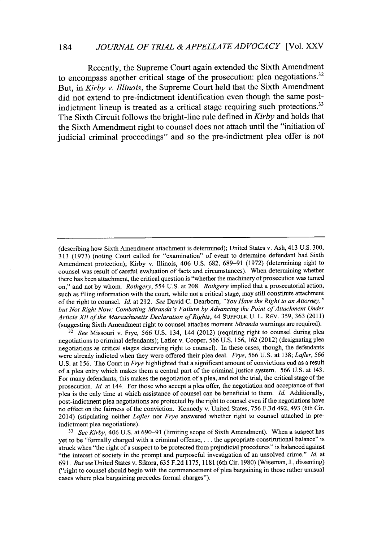Recently, the Supreme Court again extended the Sixth Amendment to encompass another critical stage of the prosecution: plea negotiations.<sup>32</sup> But, in *Kirby v. Illinois,* the Supreme Court held that the Sixth Amendment did not extend to pre-indictment identification even though the same postindictment lineup is treated as a critical stage requiring such protections.<sup>33</sup> The Sixth Circuit follows the bright-line rule defined in *Kirby* and holds that the Sixth Amendment right to counsel does not attach until the "initiation of judicial criminal proceedings" and so the pre-indictment plea offer is not

**<sup>32</sup>***See* Missouri v. Frye, 566 U.S. 134, 144 (2012) (requiring right to counsel during plea negotiations to criminal defendants); Lafler v. Cooper, 566 U.S. 156, 162 (2012) (designating plea negotiations as critical stages deserving right to counsel). In these cases, though, the defendants were already indicted when they were offered their plea deal. *Frye,* 566 U.S. at 138; *Lafler, 566* U.S. at 156. The Court in *Frye* highlighted that a significant amount of convictions end as a result of a plea entry which makes them a central part of the criminal justice system. 566 U.S. at 143. For many defendants, this makes the negotiation of a plea, and not the trial, the critical stage of the prosecution. *Id.* at 144. For those who accept a plea offer, the negotiation and acceptance of that plea is the only time at which assistance of counsel can be beneficial to them. *Id.* Additionally, post-indictment plea negotiations are protected by the right to counsel even if the negotiations have no effect on the fairness of the conviction. Kennedy v. United States, 756 F.3d 492, 493 (6th Cir. 2014) (stipulating neither *Lafler* nor *Frye* answered whether right to counsel attached in preindictment plea negotiations).

*<sup>33</sup>See Kirby,* 406 U.S. at 690-91 (limiting scope of Sixth Amendment). When a suspect has yet to be "formally charged with a criminal offense,.... the appropriate constitutional balance" is struck when "the right of a suspect to be protected from prejudicial procedures" is balanced against "the interest of society in the prompt and purposeful investigation of an unsolved crime." *Id.* at 691. *But see* United States v. Sikora, 635 F.2d 1175, 1181 (6th Cir. 1980) (Wiseman, J., dissenting) ("right to counsel should begin with the commencement of plea bargaining in those rather unusual cases where plea bargaining precedes formal charges").

<sup>(</sup>describing how Sixth Amendment attachment is determined); United States v. Ash, 413 U.S. 300, 313 (1973) (noting Court called for "examination" of event to determine defendant had Sixth Amendment protection); Kirby v. Illinois, 406 U.S. 682, 689-91 (1972) (determining right to counsel was result of careful evaluation of facts and circumstances). When determining whether there has been attachment, the critical question is "whether the machinery of prosecution was turned on," and not by whom. *Rothgery, 554* U.S. at 208. *Rothgery* implied that a prosecutorial action, such as filing information with the court, while not a critical stage, may still constitute attachment of the right to counsel. *Id.* at 212. *See* David C. Dearborn, *"You Have the Right to an Attorney, " but Not Right Now: Combating Miranda 's Failure by Advancing the Point of Attachment Under Article MI of the Massachusetts Declaration of Rights,* 44 SUFFOLK U. L. REV. 359, 363 (2011) (suggesting Sixth Amendment right to counsel attaches moment *Miranda* warnings are required).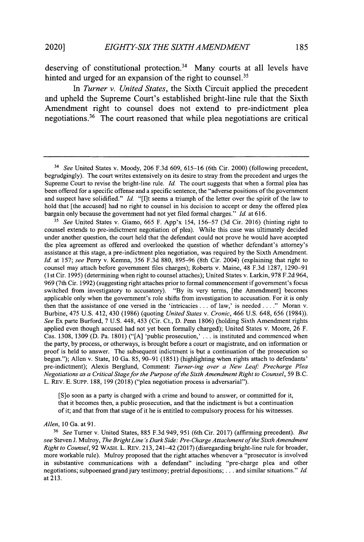deserving of constitutional protection.<sup>34</sup> Many courts at all levels have hinted and urged for an expansion of the right to counsel.<sup>35</sup>

*In Turner v. United States,* the Sixth Circuit applied the precedent and upheld the Supreme Court's established bright-line rule that the Sixth Amendment right to counsel does not extend to pre-indictment plea negotiations.36 The court reasoned that while plea negotiations are critical

<sup>35</sup> See United States v. Giamo,  $665$  F. App'x 154, 156–57 (3d Cir. 2016) (hinting right to counsel extends to pre-indictment negotiation of plea). While this case was ultimately decided under another question, the court held that the defendant could not prove he would have accepted the plea agreement as offered and overlooked the question of whether defendant's attorney's assistance at this stage, a pre-indictment plea negotiation, was required by the Sixth Amendment. *Id.* at 157; *see* Perry v. Kemna, 356 F.3d 880, 895-96 (8th Cir. 2004) (explaining that right to counsel may attach before government files charges); Roberts v. Maine, 48 F.3d 1287, 1290-91 (1st Cir. 1995) (determining when right to counsel attaches); United States v. Larkin, 978 F.2d 964, 969 (7th Cir. 1992) (suggesting right attaches prior to formal commencement if government's focus switched from investigatory to accusatory). "By its very terms, [the Amendment] becomes applicable only when the government's role shifts from investigation to accusation. For it is only then that the assistance of one versed in the 'intricacies ... of law,' is needed **.. "** Moran v. Burbine, 475 U.S. 412, 430 (1986) (quoting *United States v. Cronic,* 466 U.S. 648, 656 (1984)). *See* Ex parte Burford, 7 U.S. 448, 453 (Cir. Ct., D. Penn 1806) (holding Sixth Amendment rights applied even though accused had not yet been formally charged); United States v. Moore, 26 F. Cas. 1308, 1309 (D. Pa. 1801) ("[A] 'public prosecution,' . **.** . is instituted and commenced when the party, by process, or otherways, is brought before a court or magistrate, and on information or proof is held to answer. The subsequent indictment is but a continuation of the prosecution so begun."); Allen v. State, 10 Ga. 85, 90-91 (1851) (highlighting when rights attach to defendants' pre-indictment); Alexis Berglund, Comment: *Turner-ing over a New Leaf: Precharge Plea Negotiations as a Critical Stage for the Purpose of the Sixth Amendment Right to Counsel,* 59 B.C. L. REv. E. SupP. 188, 199 (2018) ("plea negotiation process is adversarial").

[S]o soon as a party is charged with a crime and bound to answer, or committed for it, that it becomes then, a public prosecution, and that the indictment is but a continuation of it; and that from that stage of it he is entitled to compulsory process for his witnesses.

## *Allen,* 10 Ga. at 91.

**<sup>36</sup>***See* Turner v. United States, 885 F.3d 949, 951 (6th Cir. 2017) (affirming precedent). *But see* Steven J. Mulroy, *The Bright Line's Dark Side: Pre-Charge Attachment of the Sixth Amendment Right to Counsel,* 92 WASH. L. REv. 213, 241-42 (2017) (disregarding bright-line rule for broader, more workable rule). Mulroy proposed that the right attaches whenever a "prosecutor is involved in substantive communications with a defendant" including "pre-charge plea and other negotiations; subpoenaed grand jury testimony; pretrial depositions; .. **.** and similar situations." *Id.* at 213.

*<sup>31</sup>See* United States v. Moody, 206 F.3d 609, 615-16 (6th Cir. 2000) (following precedent, begrudgingly). The court writes extensively on its desire to stray from the precedent and urges the Supreme Court to revise the bright-line rule. *Id.* The court suggests that when a formal plea has been offered for a specific offense and a specific sentence, the "adverse positions of the government and suspect have solidified." *Id.* "[I]t seems a triumph of the letter over the spirit of the law to hold that [the accused] had no right to counsel in his decision to accept or deny the offered plea bargain only because the government had not yet filed formal charges." *Id.* at 616.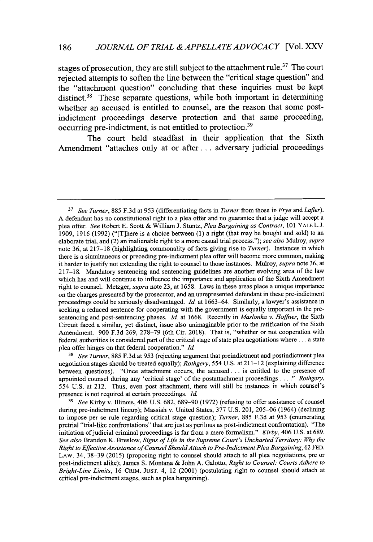stages of prosecution, they are still subject to the attachment rule.<sup>37</sup> The court rejected attempts to soften the line between the "critical stage question" and the "attachment question" concluding that these inquiries must be kept distinct.<sup>38</sup> These separate questions, while both important in determining whether an accused is entitled to counsel, are the reason that some postindictment proceedings deserve protection and that same proceeding, occurring pre-indictment, is not entitled to protection.<sup>39</sup>

The court held steadfast in their application that the Sixth Amendment "attaches only at or after... adversary judicial proceedings

**<sup>38</sup>***See Turner,* 885 F.3d at 953 (rejecting argument that preindictment and postindictment plea negotiation stages should be treated equally); *Rothgery,* 554 U.S. at 211-12 (explaining difference between questions). "Once attachment occurs, the accused **...** is entitled to the presence of appointed counsel during any 'critical stage' of the postattachment proceedings **...."** *Rothgery,* 554 U.S. at 212. Thus, even post attachment, there will still be instances in which counsel's presence is not required at certain proceedings. *Id.*

**'9** *See* Kirby v. Illinois, 406 U.S. 682, 689-90 (1972) (refusing to offer assistance of counsel during pre-indictment lineup); Massiah v. United States, 377 U.S. 201, 205-06 (1964) (declining to impose per se rule regarding critical stage question); *Turner,* 885 F.3d at 953 (enumerating pretrial "trial-like confrontations" that are just as perilous as post-indictment confrontation). "The initiation of judicial criminal proceedings is far from a mere formalism." *Kirby,* 406 U.S. at 689. *See also* Brandon K. Breslow, *Signs of Life in the Supreme Court's Uncharted Territory:* **Why** *the Right to Effective Assistance of Counsel Should Attach to Pre-Indictment Plea Bargaining,* 62 FED. LAW. 34, 38-39 (2015) (proposing right to counsel should attach to all plea negotiations, pre or post-indictment alike); James S. Montana & John A. Galotto, *Right to Counsel: Courts Adhere to Bright-Line Limits,* 16 CRIM. **JUST.** 4, 12 (2001) (postulating right to counsel should attach at critical pre-indictment stages, such as plea bargaining).

**<sup>37</sup>***See Turner,* 885 F.3d at 953 (differentiating facts in *Turner* from those in *Frye* and *Lafler).* A defendant has no constitutional right to a plea offer and no guarantee that a judge will accept a plea offer. *See* Robert E. Scott & William J. Stuntz, *Plea Bargaining as Contract,* 101 YALE L.J. 1909, 1916 (1992) ("[T]here is a choice between (1) a right (that may be bought and sold) to an elaborate trial, and (2) an inalienable right to a more casual trial process."); *see also* Mulroy, *supra* note 36, at 217-18 (highlighting commonality of facts giving rise to *Turner).* Instances in which there is a simultaneous or preceding pre-indictment plea offer will become more common, making it harder to justify not extending the right to counsel to those instances. Mulroy, *supra* note 36, at 217-18. Mandatory sentencing and sentencing guidelines are another evolving area of the law which has and will continue to influence the importance and application of the Sixth Amendment right to counsel. Metzger, *supra* note 23, at 1658. Laws in these areas place a unique importance on the charges presented by the prosecutor, and an unrepresented defendant in these pre-indictment proceedings could be seriously disadvantaged. **Id.** at 1663-64. Similarly, a lawyer's assistance in seeking a reduced sentence for cooperating with the government is equally important in the presentencing and post-sentencing phases. *Id.* at 1668. Recently in *Maslonka v. Hoffner,* the Sixth Circuit faced a similar, yet distinct, issue also unimaginable prior to the ratification of the Sixth Amendment. 900 F.3d 269, 278-79 (6th Cir. 2018). That is, "whether or not cooperation with federal authorities is considered part of the critical stage of state plea negotiations where **...** a state plea offer hinges on that federal cooperation." *Id*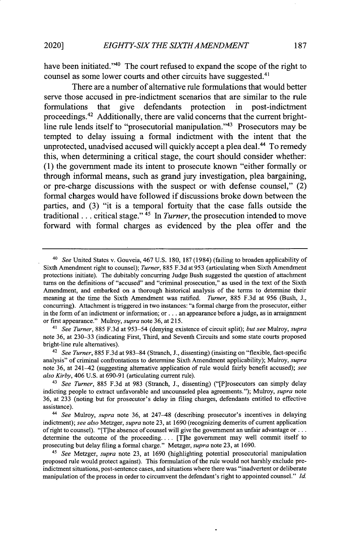have been initiated."<sup>40</sup> The court refused to expand the scope of the right to counsel as some lower courts and other circuits have suggested.<sup>41</sup>

There are a number of alternative rule formulations that would better serve those accused in pre-indictment scenarios that are similar to the rule formulations that give defendants protection in post-indictment proceedings.<sup>42</sup> Additionally, there are valid concerns that the current brightline rule lends itself to "prosecutorial manipulation."43 Prosecutors may be tempted to delay issuing a formal indictment with the intent that the unprotected, unadvised accused will quickly accept a plea deal.<sup>44</sup> To remedy this, when determining a critical stage, the court should consider whether: **(1)** the government made its intent to prosecute known "either formally or through informal means, such as grand jury investigation, plea bargaining, or pre-charge discussions with the suspect or with defense counsel," (2) formal charges would have followed if discussions broke down between the parties, and **(3)** "it is a temporal fortuity that the case falls outside the traditional... critical stage."  $45$  In *Turner*, the prosecution intended to move forward with formal charges as evidenced **by** the plea offer and the

*<sup>41</sup>See Turner,* 885 F.3d at 953-54 (denying existence of circuit split); *but see* Mulroy, *supra* note 36, at 230-33 (indicating First, Third, and Seventh Circuits and some state courts proposed bright-line rule alternatives).

<sup>42</sup>*See Turner,* 885 F.3d at 983-84 (Stranch, J., dissenting) (insisting on "flexible, fact-specific analysis" of criminal confrontations to determine Sixth Amendment applicability); Mulroy, *supra* note 36, at 241-42 (suggesting alternative application of rule would fairly benefit accused); *see also Kirby,* 406 U.S. at 690-91 (articulating current rule).

<sup>43</sup>*See Turner,* 885 F.3d at 983 (Stranch, J., dissenting) ("[P]rosecutors can simply delay indicting people to extract unfavorable and uncounseled plea agreements."); Mulroy, *supra* note 36, at 233 (noting but for prosecutor's delay in filing charges, defendants entitled to effective assistance).

*<sup>44</sup>See* Mulroy, *supra* note 36, at 247-48 (describing prosecutor's incentives in delaying indictment); *see also* Metzger, *supra* note 23, at 1690 (recognizing demerits of current application of right to counsel). "[T]he absence of counsel will give the government an unfair advantage or... determine the outcome of the proceeding.... [T]he government may well commit itself to prosecuting but delay filing a formal charge." Metzger, *supra* note 23, at 1690.

<sup>45</sup>*See* Metzger, *supra* note 23, at 1690 (highlighting potential prosecutorial manipulation proposed rule would protect against). This formulation of the rule would not harshly exclude preindictment situations, post-sentence cases, and situations where there was "inadvertent or deliberate manipulation of the process in order to circumvent the defendant's right to appointed counsel." *Id.*

*<sup>4</sup>o See* United States v. Gouveia, 467 U.S. 180, 187 (1984) (failing to broaden applicability of Sixth Amendment right to counsel); *Turner,* 885 F.3d at 953 (articulating when Sixth Amendment protections initiate). The dubitably concurring Judge Bush suggested the question of attachment turns on the definitions of "accused" and "criminal prosecution," as used in the text of the Sixth Amendment, and embarked on a thorough historical analysis of the terms to determine their meaning at the time the Sixth Amendment was ratified. *Turner,* 885 F.3d at 956 (Bush, J., concurring). Attachment is triggered in two instances: "a formal charge from the prosecutor, either in the form of an indictment or information; or **...** an appearance before a judge, as in arraignment or first appearance." Mulroy, *supra* note 36, at 215.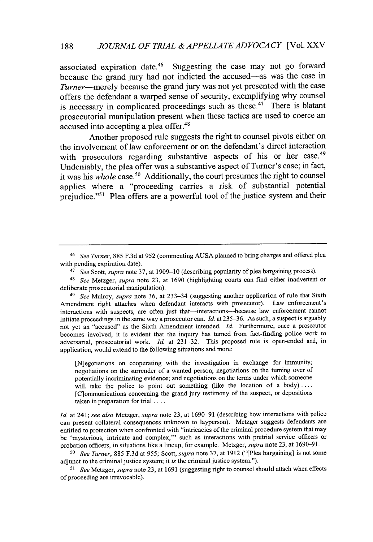associated expiration date.<sup>46</sup> Suggesting the case may not go forward because the grand jury had not indicted the accused-as was the case in *Turner*—merely because the grand jury was not yet presented with the case offers the defendant a warped sense of security, exemplifying why counsel is necessary in complicated proceedings such as these.<sup>47</sup> There is blatant prosecutorial manipulation present when these tactics are used to coerce an accused into accepting a plea offer.<sup>48</sup>

Another proposed rule suggests the right to counsel pivots either on the involvement of law enforcement or on the defendant's direct interaction with prosecutors regarding substantive aspects of his or her case.<sup>49</sup> Undeniably, the plea offer was a substantive aspect of Turner's case; in fact, it was his *whole* case.<sup>50</sup> Additionally, the court presumes the right to counsel applies where a "proceeding carries a risk of substantial potential prejudice."<sup>51</sup> Plea offers are a powerful tool of the justice system and their

[N]egotiations on cooperating with the investigation in exchange for immunity; negotiations on the surrender of a wanted person; negotiations on the turning over of potentially incriminating evidence; and negotiations on the terms under which someone will take the police to point out something (like the location of a body) .... [C]ommunications concerning the grand jury testimony of the suspect, or depositions taken in preparation for trial ....

Id. at 241; *see also* Metzger, *supra* note 23, at 1690-91 (describing how interactions with police can present collateral consequences unknown to layperson). Metzger suggests defendants are entitled to protection when confronted with "intricacies of the criminal procedure system that may be 'mysterious, intricate and complex," such as interactions with pretrial service officers or probation officers, in situations like a lineup, for example. Metzger, *supra* note 23, at 1690-91.

*'0 See Turner,* 885 F.3d at 955; Scott, *supra* note 37, at 1912 ("[Plea bargaining] is not some adjunct to the criminal justice system; it *is* the criminal justice system.").

**51** *See* Metzger, *supra* note 23, at 1691 (suggesting right to counsel should attach when effects of proceeding are irrevocable).

<sup>46</sup>*See Turner,* 885 F.3d at 952 (commenting AUSA planned to bring charges and offered plea with pending expiration date).

<sup>47</sup>*See* Scott, *supra* note 37, at 1909-10 (describing popularity of plea bargaining process).

<sup>48</sup>*See* Metzger, *supra* note 23, at 1690 (highlighting courts can find either inadvertent or deliberate prosecutorial manipulation).

<sup>49</sup>*See* Mulroy, *supra* note 36, at 233-34 (suggesting another application of rule that Sixth Amendment right attaches when defendant interacts with prosecutor). Law enforcement's interactions with suspects, are often just that-interactions-because law enforcement cannot initiate proceedings in the same way a prosecutor can. *Id.* at 235-36. As such, a suspect is arguably not yet an "accused" as the Sixth Amendment intended. **Id.** Furthermore, once a prosecutor becomes involved, it is evident that the inquiry has turned from fact-finding police work to adversarial, prosecutorial work. *Id.* at 231-32. This proposed rule is open-ended and, in application, would extend to the following situations and more: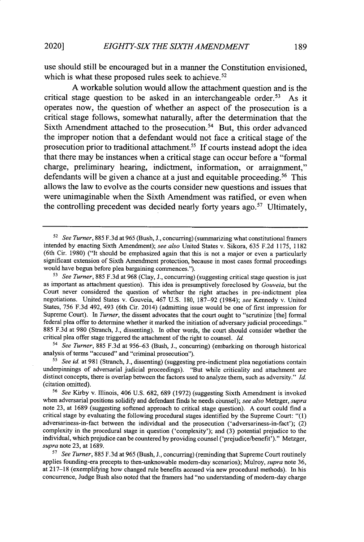use should still be encouraged but in a manner the Constitution envisioned, which is what these proposed rules seek to achieve.<sup>52</sup>

**A** workable solution would allow the attachment question and is the critical stage question to be asked in an interchangeable order.<sup>53</sup> As it operates now, the question of whether an aspect of the prosecution is a critical stage follows, somewhat naturally, after the determination that the Sixth Amendment attached to the prosecution.<sup>54</sup> But, this order advanced the improper notion that a defendant would not face a critical stage of the prosecution prior to traditional attachment. **If** courts instead adopt the idea that there may be instances when a critical stage can occur before a "formal charge, preliminary hearing, indictment, information, or arraignment," defendants will be given a chance at a just and equitable proceeding.<sup>56</sup> This allows the law to evolve as the courts consider new questions and issues that were unimaginable when the Sixth Amendment was ratified, or even when the controlling precedent was decided nearly forty years ago.<sup>57</sup> Ultimately,

<sup>54</sup>*See Turner,* 885 F.3d at 956-63 (Bush, J., concurring) (embarking on thorough historical analysis of terms "accused" and "criminal prosecution").

**55** *See id.* at 981 (Stranch, J., dissenting) (suggesting pre-indictment plea negotiations contain underpinnings of adversarial judicial proceedings). "But while criticality and attachment are distinct concepts, there is overlap between the factors used to analyze them, such as adversity." **Id.** (citation omitted).

**57** *See Turner,* 885 F.3d at 965 (Bush, J., concurring) (reminding that Supreme Court routinely applies founding-era precepts to then-unknowable modem-day scenarios); Mulroy, *supra* note 36, at **217-18** (exemplifying how changed rule benefits accused via new procedural methods). In his concurrence, Judge Bush also noted that the framers had "no understanding of modem-day charge

<sup>52</sup> *See Turner,* 885 F.3d at 965 (Bush, **J.,** concurring) (summarizing what constitutional framers intended by enacting Sixth Amendment); *see also* United States v. Sikora, 635 F.2d 1175, 1182 (6th Cir. 1980) ("It should be emphasized again that this is not a major or even a particularly significant extension of Sixth Amendment protection, because in most cases formal proceedings would have begun before plea bargaining commences.").

**<sup>53</sup>***See Turner,* 885 F.3d at 968 (Clay, J., concurring) (suggesting critical stage question is just as important as attachment question). This idea is presumptively foreclosed by *Gouveia,* but the Court never considered the question of whether the right attaches in pre-indictment plea negotiations. United States v. Gouveia, 467 U.S. 180, 187-92 (1984); *see* Kennedy v. United States, 756 F.3d 492, 493 (6th Cir. 2014) (admitting issue would be one of first impression for Supreme Court). In *Turner*, the dissent advocates that the court ought to "scrutinize [the] formal federal plea offer to determine whether it marked the initiation of adversary judicial proceedings." 885 F.3d at 980 (Stranch, J., dissenting). In other words, the court should consider whether the critical plea offer stage triggered the attachment of the right to counsel. **Id.**

<sup>56</sup>*See* Kirby v. Illinois, 406 U.S. 682, 689 (1972) (suggesting Sixth Amendment is invoked when adversarial positions solidify and defendant finds he needs counsel); *see also* Metzger, *supra* note 23, at 1689 (suggesting softened approach to critical stage question). A court could find a critical stage by evaluating the following procedural stages identified by the Supreme Court: "(1) adversariness-in-fact between the individual and the prosecution ('adversariness-in-fact'); (2) complexity in the procedural stage in question ('complexity'); and (3) potential prejudice to the individual, which prejudice can be countered by providing counsel ('prejudice/benefit')." Metzger, *supra* note 23, at 1689.